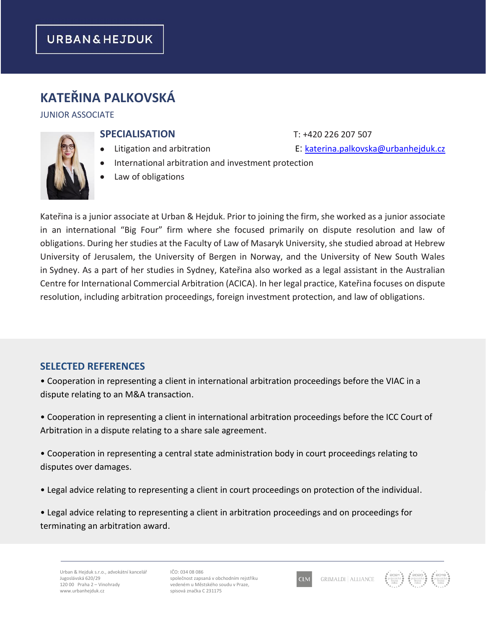# **KATEŘINA PALKOVSKÁ**

#### JUNIOR ASSOCIATE

### **SPECIALISATION** T: +420 226 207 507

- 
- International arbitration and investment protection
- Law of obligations

Kateřina is a junior associate at Urban & Hejduk. Prior to joining the firm, she worked as a junior associate in an international "Big Four" firm where she focused primarily on dispute resolution and law of obligations. During her studies at the Faculty of Law of Masaryk University, she studied abroad at Hebrew University of Jerusalem, the University of Bergen in Norway, and the University of New South Wales in Sydney. As a part of her studies in Sydney, Kateřina also worked as a legal assistant in the Australian Centre for International Commercial Arbitration (ACICA). In her legal practice, Kateřina focuses on dispute resolution, including arbitration proceedings, foreign investment protection, and law of obligations.

## **SELECTED REFERENCES**

• Cooperation in representing a client in international arbitration proceedings before the VIAC in a dispute relating to an M&A transaction.

• Cooperation in representing a client in international arbitration proceedings before the ICC Court of Arbitration in a dispute relating to a share sale agreement.

• Cooperation in representing a central state administration body in court proceedings relating to disputes over damages.

• Legal advice relating to representing a client in court proceedings on protection of the individual.

• Legal advice relating to representing a client in arbitration proceedings and on proceedings for terminating an arbitration award.

IČO: 034 08 086 společnost zapsaná v obchodním rejstříku vedeném u Městského soudu v Praze, spisová značka C 231175





- 
- Litigation and arbitration E: [katerina.palkovska@urbanhejduk.cz](mailto:katerina.palkovska@urbanhejduk.cz)